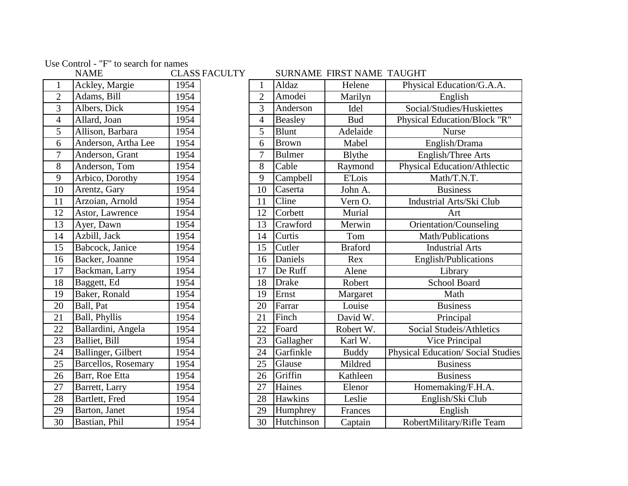Use Control - "F" to search for names

|                 | <b>NAME</b>         |      | <b>CLASS FACULTY</b> |
|-----------------|---------------------|------|----------------------|
| $\mathbf{1}$    | Ackley, Margie      | 1954 |                      |
| $\overline{c}$  | Adams, Bill         | 1954 |                      |
| $\overline{3}$  | Albers, Dick        | 1954 |                      |
| $\overline{4}$  | Allard, Joan        | 1954 |                      |
| $\overline{5}$  | Allison, Barbara    | 1954 |                      |
| 6               | Anderson, Artha Lee | 1954 |                      |
| $\overline{7}$  | Anderson, Grant     | 1954 |                      |
| 8               | Anderson, Tom       | 1954 |                      |
| 9               | Arbico, Dorothy     | 1954 |                      |
| 10              | Arentz, Gary        | 1954 |                      |
| 11              | Arzoian, Arnold     | 1954 |                      |
| 12              | Astor, Lawrence     | 1954 |                      |
| 13              | Ayer, Dawn          | 1954 |                      |
| 14              | Azbill, Jack        | 1954 |                      |
| $\overline{15}$ | Babcock, Janice     | 1954 |                      |
| 16              | Backer, Joanne      | 1954 |                      |
| 17              | Backman, Larry      | 1954 |                      |
| 18              | Baggett, Ed         | 1954 |                      |
| 19              | Baker, Ronald       | 1954 |                      |
| 20              | Ball, Pat           | 1954 |                      |
| 21              | Ball, Phyllis       | 1954 |                      |
| 22              | Ballardini, Angela  | 1954 |                      |
| 23              | Balliet, Bill       | 1954 |                      |
| 24              | Ballinger, Gilbert  | 1954 |                      |
| 25              | Barcellos, Rosemary | 1954 |                      |
| 26              | Barr, Roe Etta      | 1954 |                      |
| 27              | Barrett, Larry      | 1954 |                      |
| 28              | Bartlett, Fred      | 1954 |                      |
| 29              | Barton, Janet       | 1954 |                      |
| 30              | Bastian, Phil       | 1954 |                      |

|                                    | <b>NAME</b>         |      | CLASS FACULTY |                |                | SURNAME FIRST NAME TAUGHT |                                           |
|------------------------------------|---------------------|------|---------------|----------------|----------------|---------------------------|-------------------------------------------|
| $\mathbf{1}$                       | Ackley, Margie      | 1954 |               | 1              | Aldaz          | Helene                    | Physical Education/G.A.A.                 |
| $\overline{2}$                     | Adams, Bill         | 1954 |               | $\overline{2}$ | Amodei         | Marilyn                   | English                                   |
| $\overline{3}$                     | Albers, Dick        | 1954 |               | 3              | Anderson       | Idel                      | Social/Studies/Huskiettes                 |
| $\overline{4}$                     | Allard, Joan        | 1954 |               | $\overline{4}$ | Beasley        | <b>Bud</b>                | Physical Education/Block "R"              |
| 5                                  | Allison, Barbara    | 1954 |               | 5              | <b>Blunt</b>   | Adelaide                  | <b>Nurse</b>                              |
| 6                                  | Anderson, Artha Lee | 1954 |               | 6              | <b>Brown</b>   | Mabel                     | English/Drama                             |
| $\overline{7}$                     | Anderson, Grant     | 1954 |               | 7              | <b>Bulmer</b>  | Blythe                    | English/Three Arts                        |
| $\overline{8}$                     | Anderson, Tom       | 1954 |               | 8              | Cable          | Raymond                   | Physical Education/Athlectic              |
| $\overline{9}$                     | Arbico, Dorothy     | 1954 |               | 9              | Campbell       | <b>E'Lois</b>             | Math/T.N.T.                               |
| $\overline{10}$                    | Arentz, Gary        | 1954 |               | 10             | Caserta        | John A.                   | <b>Business</b>                           |
| $\overline{11}$                    | Arzoian, Arnold     | 1954 |               | 11             | Cline          | Vern O.                   | Industrial Arts/Ski Club                  |
| 12                                 | Astor, Lawrence     | 1954 |               | 12             | Corbett        | Murial                    | Art                                       |
| 13                                 | Ayer, Dawn          | 1954 |               | 13             | Crawford       | Merwin                    | Orientation/Counseling                    |
| $\overline{14}$                    | Azbill, Jack        | 1954 |               | 14             | Curtis         | Tom                       | <b>Math/Publications</b>                  |
| 15                                 | Babcock, Janice     | 1954 |               | 15             | Cutler         | <b>Braford</b>            | <b>Industrial Arts</b>                    |
| 16                                 | Backer, Joanne      | 1954 |               | 16             | Daniels        | Rex                       | English/Publications                      |
| 17                                 | Backman, Larry      | 1954 |               | 17             | De Ruff        | Alene                     | Library                                   |
| 18                                 | Baggett, Ed         | 1954 |               | 18             | <b>Drake</b>   | Robert                    | <b>School Board</b>                       |
| 19                                 | Baker, Ronald       | 1954 |               | 19             | Ernst          | Margaret                  | Math                                      |
| <b>20</b>                          | Ball, Pat           | 1954 |               | 20             | Farrar         | Louise                    | <b>Business</b>                           |
|                                    | Ball, Phyllis       | 1954 |               | 21             | Finch          | David W.                  | Principal                                 |
| $\frac{21}{22}$<br>$\frac{22}{24}$ | Ballardini, Angela  | 1954 |               | 22             | Foard          | Robert W.                 | Social Studeis/Athletics                  |
|                                    | Balliet, Bill       | 1954 |               | 23             | Gallagher      | Karl W.                   | Vice Principal                            |
|                                    | Ballinger, Gilbert  | 1954 |               | 24             | Garfinkle      | <b>Buddy</b>              | <b>Physical Education/ Social Studies</b> |
| $\overline{25}$                    | Barcellos, Rosemary | 1954 |               | 25             | Glause         | Mildred                   | <b>Business</b>                           |
| $\overline{26}$                    | Barr, Roe Etta      | 1954 |               | 26             | Griffin        | Kathleen                  | <b>Business</b>                           |
| $\overline{27}$                    | Barrett, Larry      | 1954 |               | 27             | Haines         | Elenor                    | Homemaking/F.H.A.                         |
| 28                                 | Bartlett, Fred      | 1954 |               | 28             | <b>Hawkins</b> | Leslie                    | English/Ski Club                          |
| 29                                 | Barton, Janet       | 1954 |               | 29             | Humphrey       | Frances                   | English                                   |
| $\overline{30}$                    | Bastian, Phil       | 1954 |               | 30             | Hutchinson     | Captain                   | RobertMilitary/Rifle Team                 |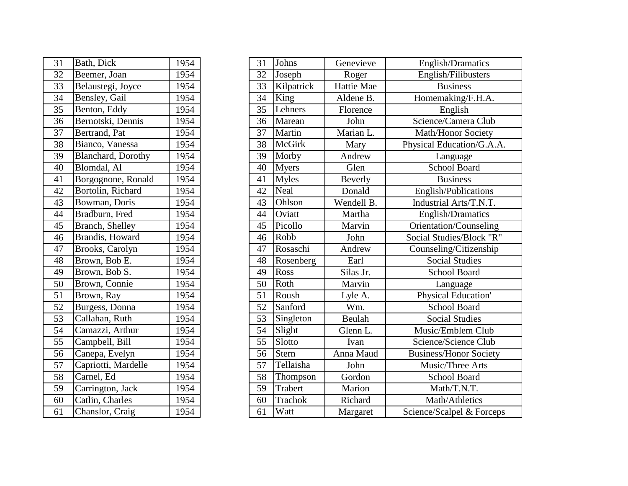| 31              | Bath, Dick          | 1954 |
|-----------------|---------------------|------|
| $\overline{32}$ | Beemer, Joan        | 1954 |
| 33              | Belaustegi, Joyce   | 1954 |
| 34              | Bensley, Gail       | 1954 |
| 35              | Benton, Eddy        | 1954 |
| 36              | Bernotski, Dennis   | 1954 |
| 37              | Bertrand, Pat       | 1954 |
| 38              | Bianco, Vanessa     | 1954 |
| 39              | Blanchard, Dorothy  | 1954 |
| 40              | Blomdal, Al         | 1954 |
| 41              | Borgognone, Ronald  | 1954 |
| 42              | Bortolin, Richard   | 1954 |
| 43              | Bowman, Doris       | 1954 |
| 44              | Bradburn, Fred      | 1954 |
| 45              | Branch, Shelley     | 1954 |
| 46              | Brandis, Howard     | 1954 |
| 47              | Brooks, Carolyn     | 1954 |
| 48              | Brown, Bob E.       | 1954 |
| 49              | Brown, Bob S.       | 1954 |
| 50              | Brown, Connie       | 1954 |
| 51              | Brown, Ray          | 1954 |
| 52              | Burgess, Donna      | 1954 |
| 53              | Callahan, Ruth      | 1954 |
| 54              | Camazzi, Arthur     | 1954 |
| 55              | Campbell, Bill      | 1954 |
| 56              | Canepa, Evelyn      | 1954 |
| 57              | Capriotti, Mardelle | 1954 |
| 58              | Carnel, Ed          | 1954 |
| 59              | Carrington, Jack    | 1954 |
| 60              | Catlin, Charles     | 1954 |
| 61              | Chanslor, Craig     | 1954 |

| 31              | Bath, Dick                 | 1954 | 31 | Johns        | Genevieve      | English/Dramatics             |
|-----------------|----------------------------|------|----|--------------|----------------|-------------------------------|
| 32              | Beemer, Joan               | 1954 | 32 | Joseph       | Roger          | English/Filibusters           |
| $\overline{33}$ | Belaustegi, Joyce          | 1954 | 33 | Kilpatrick   | Hattie Mae     | <b>Business</b>               |
| $\overline{34}$ | Bensley, Gail              | 1954 | 34 | King         | Aldene B.      | Homemaking/F.H.A.             |
| $\overline{35}$ | Benton, Eddy               | 1954 | 35 | Lehners      | Florence       | English                       |
| $\overline{36}$ | Bernotski, Dennis          | 1954 | 36 | Marean       | John           | Science/Camera Club           |
| $\overline{37}$ | Bertrand, Pat              | 1954 | 37 | Martin       | Marian L.      | <b>Math/Honor Society</b>     |
| 38              | Bianco, Vanessa            | 1954 | 38 | McGirk       | Mary           | Physical Education/G.A.A.     |
| 39              | <b>Blanchard</b> , Dorothy | 1954 | 39 | Morby        | Andrew         | Language                      |
| 40              | Blomdal, Al                | 1954 | 40 | <b>Myers</b> | Glen           | School Board                  |
| 41              | Borgognone, Ronald         | 1954 | 41 | <b>Myles</b> | <b>Beverly</b> | <b>Business</b>               |
| 42              | Bortolin, Richard          | 1954 | 42 | Neal         | Donald         | English/Publications          |
| 43              | Bowman, Doris              | 1954 | 43 | Ohlson       | Wendell B.     | Industrial Arts/T.N.T.        |
| 44              | Bradburn, Fred             | 1954 | 44 | Oviatt       | Martha         | English/Dramatics             |
| $\overline{45}$ | <b>Branch, Shelley</b>     | 1954 | 45 | Picollo      | Marvin         | Orientation/Counseling        |
| 46              | <b>Brandis</b> , Howard    | 1954 | 46 | Robb         | John           | Social Studies/Block "R"      |
| 47              | Brooks, Carolyn            | 1954 | 47 | Rosaschi     | Andrew         | Counseling/Citizenship        |
| $\overline{48}$ | Brown, Bob E.              | 1954 | 48 | Rosenberg    | Earl           | <b>Social Studies</b>         |
| 49              | Brown, Bob S.              | 1954 | 49 | Ross         | Silas Jr.      | <b>School Board</b>           |
| 50              | Brown, Connie              | 1954 | 50 | Roth         | Marvin         | Language                      |
| $\overline{51}$ | Brown, Ray                 | 1954 | 51 | Roush        | Lyle A.        | Physical Education'           |
| $\overline{52}$ | Burgess, Donna             | 1954 | 52 | Sanford      | Wm.            | <b>School Board</b>           |
| $\overline{53}$ | Callahan, Ruth             | 1954 | 53 | Singleton    | Beulah         | <b>Social Studies</b>         |
| 54              | Camazzi, Arthur            | 1954 | 54 | Slight       | Glenn L.       | Music/Emblem Club             |
| $\overline{55}$ | Campbell, Bill             | 1954 | 55 | Slotto       | Ivan           | Science/Science Club          |
| $\overline{56}$ | Canepa, Evelyn             | 1954 | 56 | Stern        | Anna Maud      | <b>Business/Honor Society</b> |
| 57              | Capriotti, Mardelle        | 1954 | 57 | Tellaisha    | John           | Music/Three Arts              |
| $\overline{58}$ | Carnel, Ed                 | 1954 | 58 | Thompson     | Gordon         | School Board                  |
| 59              | Carrington, Jack           | 1954 | 59 | Trabert      | Marion         | Math/T.N.T.                   |
| $\overline{60}$ | Catlin, Charles            | 1954 | 60 | Trachok      | Richard        | Math/Athletics                |
| $\overline{61}$ | Chanslor, Craig            | 1954 | 61 | Watt         | Margaret       | Science/Scalpel & Forceps     |
|                 |                            |      |    |              |                |                               |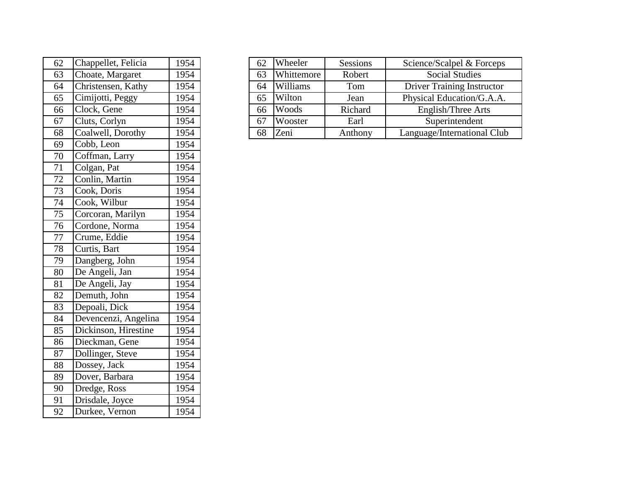| 62              | Chappellet, Felicia  | 1954 |
|-----------------|----------------------|------|
| 63              | Choate, Margaret     | 1954 |
| 64              | Christensen, Kathy   | 1954 |
| 65              | Cimijotti, Peggy     | 1954 |
| 66              | Clock, Gene          | 1954 |
| 67              | Cluts, Corlyn        | 1954 |
| 68              | Coalwell, Dorothy    | 1954 |
| 69              | Cobb, Leon           | 1954 |
| 70              | Coffman, Larry       | 1954 |
| 71              | Colgan, Pat          | 1954 |
| 72              | Conlin, Martin       | 1954 |
| 73              | Cook, Doris          | 1954 |
| 74              | Cook, Wilbur         | 1954 |
| $\overline{75}$ | Corcoran, Marilyn    | 1954 |
| $\overline{76}$ | Cordone, Norma       | 1954 |
| $\overline{77}$ | Crume, Eddie         | 1954 |
| 78              | Curtis, Bart         | 1954 |
| 79              | Dangberg, John       | 1954 |
| 80              | De Angeli, Jan       | 1954 |
| 81              | De Angeli, Jay       | 1954 |
| 82              | Demuth, John         | 1954 |
| 83              | Depoali, Dick        | 1954 |
| 84              | Devencenzi, Angelina | 1954 |
| 85              | Dickinson, Hirestine | 1954 |
| 86              | Dieckman, Gene       | 1954 |
| 87              | Dollinger, Steve     | 1954 |
| 88              | Dossey, Jack         | 1954 |
| 89              | Dover, Barbara       | 1954 |
| 90              | Dredge, Ross         | 1954 |
| 91              | Drisdale, Joyce      | 1954 |
| 92              | Durkee, Vernon       | 1954 |

| 62 | Chappellet, Felicia | 1954 | 62 | Wheeler    | Sessions | Science/Scalpel & Forceps         |
|----|---------------------|------|----|------------|----------|-----------------------------------|
| 63 | Choate, Margaret    | 1954 | 63 | Whittemore | Robert   | <b>Social Studies</b>             |
| 64 | Christensen, Kathy  | 1954 | 64 | Williams   | Tom      | <b>Driver Training Instructor</b> |
| 65 | Cimijotti, Peggy    | 1954 | 65 | Wilton     | Jean     | Physical Education/G.A.A.         |
| 66 | Clock, Gene         | 1954 | 66 | Woods      | Richard  | English/Three Arts                |
| 67 | Cluts, Corlyn       | 1954 | 67 | Wooster    | Earl     | Superintendent                    |
| 68 | Coalwell, Dorothy   | 1954 | 68 | Zeni       | Anthony  | Language/International Club       |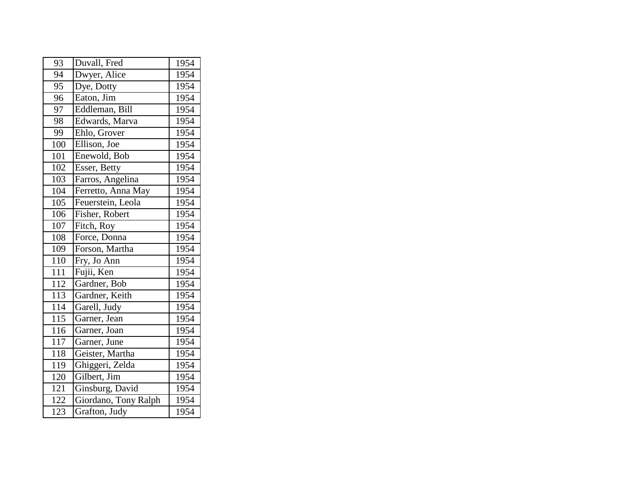| 93               | Duvall, Fred         | 1954 |
|------------------|----------------------|------|
| 94               | Dwyer, Alice         | 1954 |
| 95               | Dye, Dotty           | 1954 |
| 96               | Eaton, Jim           | 1954 |
| 97               | Eddleman, Bill       | 1954 |
| 98               | Edwards, Marva       | 1954 |
| 99               | Ehlo, Grover         | 1954 |
| 100              | Ellison, Joe         | 1954 |
| 101              | Enewold, Bob         | 1954 |
| 102              | Esser, Betty         | 1954 |
| 103              | Farros, Angelina     | 1954 |
| 104              | Ferretto, Anna May   | 1954 |
| 105              | Feuerstein, Leola    | 1954 |
| 106              | Fisher, Robert       | 1954 |
| 107              | Fitch, Roy           | 1954 |
| 108              | Force, Donna         | 1954 |
| 109              | Forson, Martha       | 1954 |
| 110              | Fry, Jo Ann          | 1954 |
| $11\overline{1}$ | Fujii, Ken           | 1954 |
| 112              | Gardner, Bob         | 1954 |
| <sup>1</sup> 13  | Gardner, Keith       | 1954 |
| 114              | Garell, Judy         | 1954 |
| 115              | Garner, Jean         | 1954 |
| 116              | Garner, Joan         | 1954 |
| 117              | Garner, June         | 1954 |
| 118              | Geister, Martha      | 1954 |
| 119              | Ghiggeri, Zelda      | 1954 |
| 120              | Gilbert, Jim         | 1954 |
| 121              | Ginsburg, David      | 1954 |
| 122              | Giordano, Tony Ralph | 1954 |
| 123              | Grafton, Judy        | 1954 |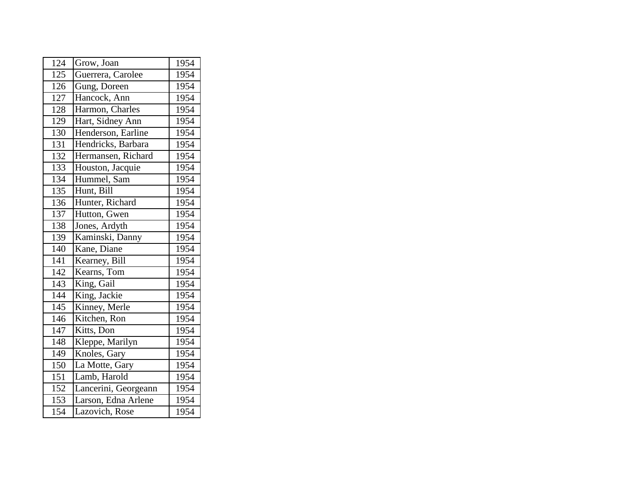| 124 | Grow, Joan           | 1954 |
|-----|----------------------|------|
| 125 | Guerrera, Carolee    | 1954 |
| 126 | Gung, Doreen         | 1954 |
| 127 | Hancock, Ann         | 1954 |
| 128 | Harmon, Charles      | 1954 |
| 129 | Hart, Sidney Ann     | 1954 |
| 130 | Henderson, Earline   | 1954 |
| 131 | Hendricks, Barbara   | 1954 |
| 132 | Hermansen, Richard   | 1954 |
| 133 | Houston, Jacquie     | 1954 |
| 134 | Hummel, Sam          | 1954 |
| 135 | Hunt, Bill           | 1954 |
| 136 | Hunter, Richard      | 1954 |
| 137 | Hutton, Gwen         | 1954 |
| 138 | Jones, Ardyth        | 1954 |
| 139 | Kaminski, Danny      | 1954 |
| 140 | Kane, Diane          | 1954 |
| 141 | Kearney, Bill        | 1954 |
| 142 | Kearns, Tom          | 1954 |
| 143 | King, Gail           | 1954 |
| 144 | King, Jackie         | 1954 |
| 145 | Kinney, Merle        | 1954 |
| 146 | Kitchen, Ron         | 1954 |
| 147 | Kitts, Don           | 1954 |
| 148 | Kleppe, Marilyn      | 1954 |
| 149 | Knoles, Gary         | 1954 |
| 150 | La Motte, Gary       | 1954 |
| 151 | Lamb, Harold         | 1954 |
| 152 | Lancerini, Georgeann | 1954 |
| 153 | Larson, Edna Arlene  | 1954 |
| 154 | Lazovich, Rose       | 1954 |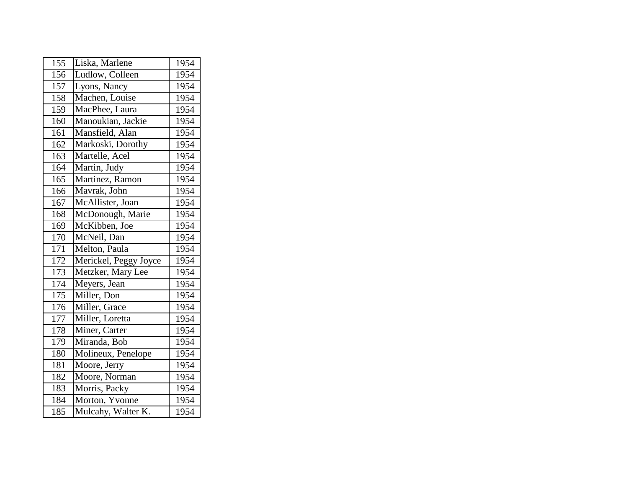| 155 | Liska, Marlene        | 1954 |
|-----|-----------------------|------|
| 156 | Ludlow, Colleen       | 1954 |
| 157 | Lyons, Nancy          | 1954 |
| 158 | Machen, Louise        | 1954 |
| 159 | MacPhee, Laura        | 1954 |
| 160 | Manoukian, Jackie     | 1954 |
| 161 | Mansfield, Alan       | 1954 |
| 162 | Markoski, Dorothy     | 1954 |
| 163 | Martelle, Acel        | 1954 |
| 164 | Martin, Judy          | 1954 |
| 165 | Martinez, Ramon       | 1954 |
| 166 | Mavrak, John          | 1954 |
| 167 | McAllister, Joan      | 1954 |
| 168 | McDonough, Marie      | 1954 |
| 169 | McKibben, Joe         | 1954 |
| 170 | McNeil, Dan           | 1954 |
| 171 | Melton, Paula         | 1954 |
| 172 | Merickel, Peggy Joyce | 1954 |
| 173 | Metzker, Mary Lee     | 1954 |
| 174 | Meyers, Jean          | 1954 |
| 175 | Miller, Don           | 1954 |
| 176 | Miller, Grace         | 1954 |
| 177 | Miller, Loretta       | 1954 |
| 178 | Miner, Carter         | 1954 |
| 179 | Miranda, Bob          | 1954 |
| 180 | Molineux, Penelope    | 1954 |
| 181 | Moore, Jerry          | 1954 |
| 182 | Moore, Norman         | 1954 |
| 183 | Morris, Packy         | 1954 |
| 184 | Morton, Yvonne        | 1954 |
| 185 | Mulcahy, Walter K.    | 1954 |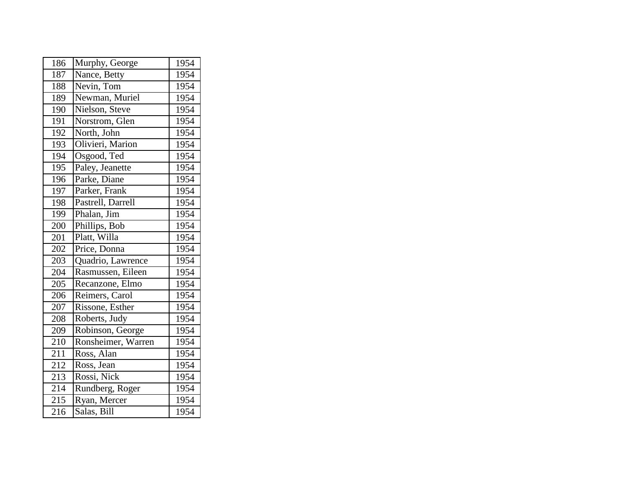| 186 | Murphy, George     | 1954              |
|-----|--------------------|-------------------|
| 187 | Nance, Betty       | 1954              |
| 188 | Nevin, Tom         | 1954              |
| 189 | Newman, Muriel     | 1954              |
| 190 | Nielson, Steve     | $19\overline{54}$ |
| 191 | Norstrom, Glen     | 1954              |
| 192 | North, John        | 1954              |
| 193 | Olivieri, Marion   | 1954              |
| 194 | Osgood, Ted        | 1954              |
| 195 | Paley, Jeanette    | 1954              |
| 196 | Parke, Diane       | 1954              |
| 197 | Parker, Frank      | 1954              |
| 198 | Pastrell, Darrell  | 1954              |
| 199 | Phalan, Jim        | 1954              |
| 200 | Phillips, Bob      | 1954              |
| 201 | Platt, Willa       | 1954              |
| 202 | Price, Donna       | 1954              |
| 203 | Quadrio, Lawrence  | 1954              |
| 204 | Rasmussen, Eileen  | 1954              |
| 205 | Recanzone, Elmo    | 1954              |
| 206 | Reimers, Carol     | 1954              |
| 207 | Rissone, Esther    | 1954              |
| 208 | Roberts, Judy      | 1954              |
| 209 | Robinson, George   | 1954              |
| 210 | Ronsheimer, Warren | 1954              |
| 211 | Ross, Alan         | 1954              |
| 212 | Ross, Jean         | 1954              |
| 213 | Rossi, Nick        | 1954              |
| 214 | Rundberg, Roger    | 1954              |
| 215 | Ryan, Mercer       | 1954              |
| 216 | Salas, Bill        | 1954              |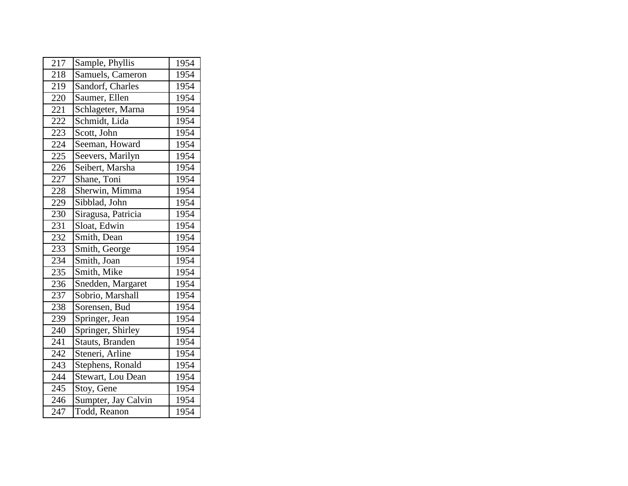| 217 | Sample, Phyllis     | 1954 |
|-----|---------------------|------|
| 218 | Samuels, Cameron    | 1954 |
| 219 | Sandorf, Charles    | 1954 |
| 220 | Saumer, Ellen       | 1954 |
| 221 | Schlageter, Marna   | 1954 |
| 222 | Schmidt, Lida       | 1954 |
| 223 | Scott, John         | 1954 |
| 224 | Seeman, Howard      | 1954 |
| 225 | Seevers, Marilyn    | 1954 |
| 226 | Seibert, Marsha     | 1954 |
| 227 | Shane, Toni         | 1954 |
| 228 | Sherwin, Mimma      | 1954 |
| 229 | Sibblad, John       | 1954 |
| 230 | Siragusa, Patricia  | 1954 |
| 231 | Sloat, Edwin        | 1954 |
| 232 | Smith, Dean         | 1954 |
| 233 | Smith, George       | 1954 |
| 234 | Smith, Joan         | 1954 |
| 235 | Smith, Mike         | 1954 |
| 236 | Snedden, Margaret   | 1954 |
| 237 | Sobrio, Marshall    | 1954 |
| 238 | Sorensen, Bud       | 1954 |
| 239 | Springer, Jean      | 1954 |
| 240 | Springer, Shirley   | 1954 |
| 241 | Stauts, Branden     | 1954 |
| 242 | Steneri, Arline     | 1954 |
| 243 | Stephens, Ronald    | 1954 |
| 244 | Stewart, Lou Dean   | 1954 |
| 245 | Stoy, Gene          | 1954 |
| 246 | Sumpter, Jay Calvin | 1954 |
| 247 | Todd, Reanon        | 1954 |